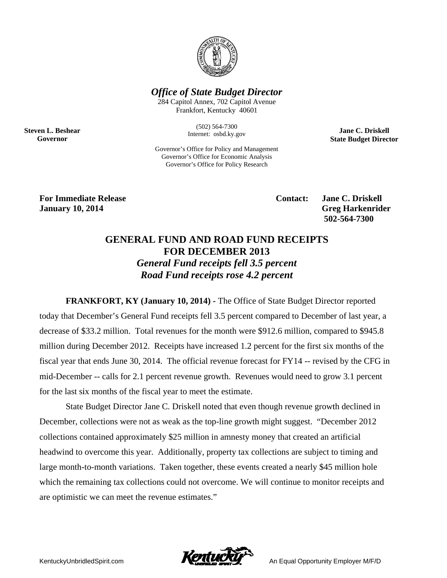

**Office of State Budget Director** 

284 Capitol Annex, 702 Capitol Avenue Frankfort, Kentucky 40601

> $(502) 564 - 7300$ Internet: osbd.ky.gov

Governor's Office for Policy and Management Governor's Office for Economic Analysis Governor's Office for Policy Research

**Jane C. Driskell State Budget Director** 

**For Immediate Release January 10, 2014** 

**Steven L. Beshear** 

Governor

Contact:

**Jane C. Driskell Greg Harkenrider** 502-564-7300

## **GENERAL FUND AND ROAD FUND RECEIPTS FOR DECEMBER 2013 General Fund receipts fell 3.5 percent Road Fund receipts rose 4.2 percent**

FRANKFORT, KY (January 10, 2014) - The Office of State Budget Director reported today that December's General Fund receipts fell 3.5 percent compared to December of last year, a decrease of \$33.2 million. Total revenues for the month were \$912.6 million, compared to \$945.8 million during December 2012. Receipts have increased 1.2 percent for the first six months of the fiscal year that ends June 30, 2014. The official revenue forecast for FY14 -- revised by the CFG in mid-December -- calls for 2.1 percent revenue growth. Revenues would need to grow 3.1 percent for the last six months of the fiscal year to meet the estimate.

State Budget Director Jane C. Driskell noted that even though revenue growth declined in December, collections were not as weak as the top-line growth might suggest. "December 2012 collections contained approximately \$25 million in amnesty money that created an artificial headwind to overcome this year. Additionally, property tax collections are subject to timing and large month-to-month variations. Taken together, these events created a nearly \$45 million hole which the remaining tax collections could not overcome. We will continue to monitor receipts and are optimistic we can meet the revenue estimates."



An Equal Opportunity Employer M/F/D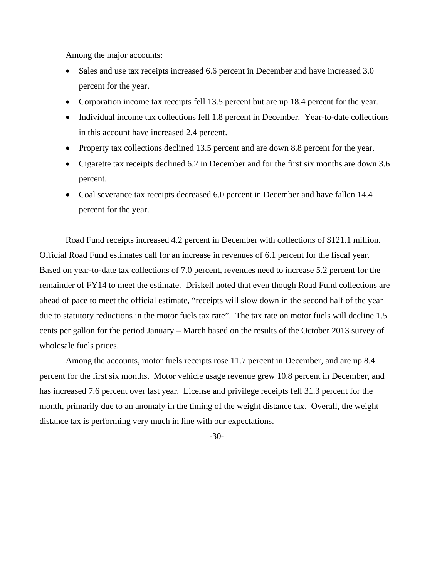Among the major accounts:

- Sales and use tax receipts increased 6.6 percent in December and have increased 3.0 percent for the year.
- Corporation income tax receipts fell 13.5 percent but are up 18.4 percent for the year.
- Individual income tax collections fell 1.8 percent in December. Year-to-date collections in this account have increased 2.4 percent.
- Property tax collections declined 13.5 percent and are down 8.8 percent for the year.
- Cigarette tax receipts declined 6.2 in December and for the first six months are down 3.6 percent.
- Coal severance tax receipts decreased 6.0 percent in December and have fallen 14.4 percent for the year.

 Road Fund receipts increased 4.2 percent in December with collections of \$121.1 million. Official Road Fund estimates call for an increase in revenues of 6.1 percent for the fiscal year. Based on year-to-date tax collections of 7.0 percent, revenues need to increase 5.2 percent for the remainder of FY14 to meet the estimate. Driskell noted that even though Road Fund collections are ahead of pace to meet the official estimate, "receipts will slow down in the second half of the year due to statutory reductions in the motor fuels tax rate". The tax rate on motor fuels will decline 1.5 cents per gallon for the period January – March based on the results of the October 2013 survey of wholesale fuels prices.

 Among the accounts, motor fuels receipts rose 11.7 percent in December, and are up 8.4 percent for the first six months. Motor vehicle usage revenue grew 10.8 percent in December, and has increased 7.6 percent over last year. License and privilege receipts fell 31.3 percent for the month, primarily due to an anomaly in the timing of the weight distance tax. Overall, the weight distance tax is performing very much in line with our expectations.

-30-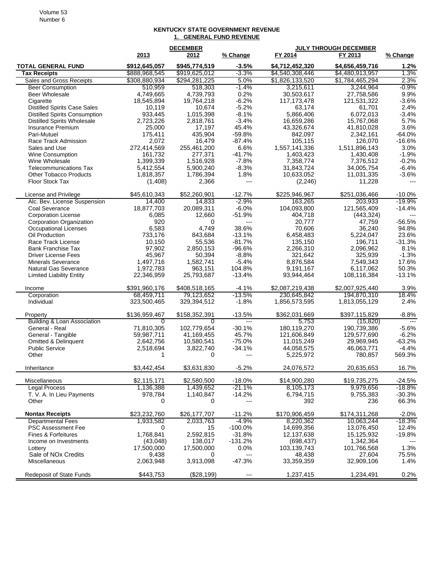## Volume 53 Number 6

## **KENTUCKY STATE GOVERNMENT REVENUE 1. GENERAL FUND REVENUE**

|                                                                 | 2013                    | <b>DECEMBER</b><br>2012 | % Change            | FY 2014                  | <b>JULY THROUGH DECEMBER</b><br>FY 2013 | % Change             |
|-----------------------------------------------------------------|-------------------------|-------------------------|---------------------|--------------------------|-----------------------------------------|----------------------|
| <b>TOTAL GENERAL FUND</b>                                       | \$912,645,057           | \$945,774,519           | $-3.5%$             | \$4,712,452,320          | \$4,656,459,716                         | 1.2%                 |
| <b>Tax Receipts</b>                                             | \$888,968,545           | \$919,625,012           | $-3.3%$             | \$4,540,308,446          | \$4,480,913,957                         | 1.3%                 |
| Sales and Gross Receipts                                        | \$308,880,934           | \$294,281,225           | 5.0%                | \$1,826,133,520          | \$1,784,465,294                         | 2.3%                 |
| <b>Beer Consumption</b>                                         | 510,959                 | 518,303                 | $-1.4%$             | 3,215,611                | 3.244.964                               | $-0.9%$              |
| Beer Wholesale                                                  | 4,749,665               | 4,739,793               | 0.2%                | 30,503,617               | 27,758,586                              | 9.9%                 |
| Cigarette                                                       | 18,545,894              | 19,764,218              | $-6.2%$             | 117, 173, 478            | 121,531,322                             | $-3.6%$              |
| <b>Distilled Spirits Case Sales</b>                             | 10,119                  | 10,674                  | $-5.2%$             | 63,174                   | 61,701                                  | 2.4%                 |
| <b>Distilled Spirits Consumption</b>                            | 933,445                 | 1,015,398               | $-8.1%$             | 5,866,406                | 6,072,013                               | $-3.4%$              |
| <b>Distilled Spirits Wholesale</b>                              | 2,723,226               | 2,818,761               | $-3.4%$             | 16,659,286               | 15,767,068                              | 5.7%                 |
| Insurance Premium                                               | 25,000                  | 17,197                  | 45.4%               | 43,326,674               | 41,810,028                              | 3.6%                 |
| Pari-Mutuel                                                     | 175,411                 | 435,904                 | $-59.8%$            | 842,097                  | 2,342,161                               | $-64.0%$<br>$-16.6%$ |
| Race Track Admission<br>Sales and Use                           | 2,072<br>272,414,569    | 16,479<br>255,461,200   | $-87.4%$<br>6.6%    | 105,115<br>1,557,141,336 | 126,070<br>1,511,896,143                | 3.0%                 |
| Wine Consumption                                                | 161,732                 | 277,371                 | -41.7%              | 1,403,423                | 1,430,408                               | $-1.9%$              |
| Wine Wholesale                                                  | 1,399,339               | 1,516,928               | $-7.8%$             | 7,358,774                | 7,376,512                               | $-0.2%$              |
| <b>Telecommunications Tax</b>                                   | 5,412,554               | 5,900,240               | $-8.3%$             | 31,843,724               | 34,005,754                              | $-6.4%$              |
| <b>Other Tobacco Products</b>                                   | 1,818,357               | 1,786,394               | 1.8%                | 10,633,052               | 11,031,335                              | $-3.6%$              |
| Floor Stock Tax                                                 | (1,408)                 | 2,366                   | $\overline{a}$      | (2, 246)                 | 11,228                                  |                      |
|                                                                 |                         |                         |                     |                          |                                         |                      |
| License and Privilege                                           | \$45,610,343            | \$52,260,901            | $-12.7%$            | \$225,946,967            | \$251,036,466                           | $-10.0%$             |
| Alc. Bev. License Suspension                                    | 14,400                  | 14,833                  | $-2.9%$             | 163,265                  | 203,933                                 | $-19.9%$             |
| <b>Coal Severance</b>                                           | 18,877,703              | 20,089,311              | $-6.0%$             | 104,093,800              | 121,565,409                             | $-14.4%$             |
| <b>Corporation License</b>                                      | 6,085                   | 12,660                  | $-51.9%$            | 404,718                  | (443, 324)                              |                      |
| Corporation Organization                                        | 920                     | 0                       | ---                 | 20,777                   | 47,759                                  | $-56.5%$             |
| Occupational Licenses                                           | 6,583                   | 4,749                   | 38.6%               | 70,606                   | 36,240                                  | 94.8%                |
| Oil Production                                                  | 733,176                 | 843,684                 | $-13.1%$            | 6,458,483                | 5,224,047                               | 23.6%                |
| Race Track License                                              | 10,150                  | 55,536                  | $-81.7%$            | 135,150                  | 196,711                                 | $-31.3%$             |
| <b>Bank Franchise Tax</b>                                       | 97,902                  | 2,850,153               | $-96.6%$            | 2,266,310                | 2,096,962                               | 8.1%                 |
| <b>Driver License Fees</b>                                      | 45,967                  | 50,394                  | $-8.8%$<br>$-5.4%$  | 321,642                  | 325,939                                 | $-1.3%$<br>17.6%     |
| <b>Minerals Severance</b>                                       | 1,497,716               | 1,582,741               | 104.8%              | 8,876,584                | 7,549,343                               | 50.3%                |
| <b>Natural Gas Severance</b><br><b>Limited Liability Entity</b> | 1,972,783<br>22,346,959 | 963,151<br>25,793,687   | $-13.4%$            | 9,191,167<br>93,944,464  | 6,117,062<br>108,116,384                | $-13.1%$             |
|                                                                 |                         |                         |                     |                          |                                         |                      |
| Income                                                          | \$391,960,176           | \$408,518,165           | $-4.1\%$            | \$2,087,219,438          | \$2,007,925,440                         | 3.9%                 |
| Corporation                                                     | 68,459,711              | 79,123,652              | $-13.5%$            | 230,645,842              | 194,870,310                             | 18.4%                |
| Individual                                                      | 323,500,465             | 329,394,512             | $-1.8%$             | 1,856,573,595            | 1,813,055,129                           | 2.4%                 |
| Property                                                        | \$136,959,467           | \$158,352,391           | $-13.5%$            | \$362,031,669            | \$397,115,829                           | $-8.8%$              |
| <b>Building &amp; Loan Association</b>                          | $\overline{0}$          | 0                       | $\qquad \qquad - -$ | 5,753                    | (15, 820)                               | $---$                |
| General - Real                                                  | 71,810,305              | 102,779,654             | $-30.1%$            | 180,119,270              | 190,739,386                             | $-5.6%$              |
| General - Tangible                                              | 59,987,711              | 41,169,455              | 45.7%               | 121,606,849              | 129,577,690                             | $-6.2%$              |
| <b>Omitted &amp; Delinquent</b>                                 | 2,642,756               | 10,580,541              | $-75.0%$            | 11,015,249               | 29,969,945                              | $-63.2%$             |
| <b>Public Service</b>                                           | 2,518,694               | 3,822,740               | $-34.1%$            | 44,058,575               | 46,063,771                              | $-4.4%$              |
| Other                                                           | 1                       | 0                       | $\overline{a}$      | 5,225,972                | 780,857                                 | 569.3%               |
| Inheritance                                                     | \$3,442,454             | \$3,631,830             | $-5.2%$             | 24,076,572               | 20,635,653                              | 16.7%                |
| Miscellaneous                                                   | \$2,115,171             | \$2,580,500             | $-18.0%$            | \$14,900,280             | \$19,735,275                            | $-24.5%$             |
| <b>Legal Process</b>                                            | 1,136,388               | 1,439,652               | $-21.1%$            | 8,105,173                | 9,979,656                               | $-18.8%$             |
| T. V. A. In Lieu Payments                                       | 978,784                 | 1,140,847               | $-14.2%$            | 6,794,715                | 9,755,383                               | $-30.3%$             |
| Other                                                           | 0                       | 0                       | ---                 | 392                      | 236                                     | 66.3%                |
| <b>Nontax Receipts</b>                                          | \$23,232,760            | \$26,177,707            | $-11.2%$            | \$170,906,459            | \$174,311,268                           | $-2.0%$              |
| <b>Departmental Fees</b>                                        | 1,933,582               | 2,033,763               | $-4.9%$             | 8,220,362                | 10,063,244                              | $-18.3%$             |
| PSC Assessment Fee                                              | 0                       | 15                      | $-100.0\%$          | 14,699,356               | 13,076,450                              | 12.4%                |
| Fines & Forfeitures                                             | 1,768,841               | 2,592,815               | $-31.8%$            | 12,137,638               | 15,125,932                              | $-19.8%$             |
| Income on Investments                                           | (43,048)                | 138,017                 | $-131.2%$           | (698, 437)               | 1,342,364                               | $---$                |
| Lottery                                                         | 17,500,000              | 17,500,000              | 0.0%                | 103,139,743              | 101,766,568                             | 1.3%                 |
| Sale of NOx Credits                                             | 9,438                   | 0                       | $\overline{a}$      | 48,438                   | 27,604                                  | 75.5%                |
| Miscellaneous                                                   | 2,063,948               | 3,913,098               | $-47.3%$            | 33,359,359               | 32,909,106                              | 1.4%                 |
| <b>Redeposit of State Funds</b>                                 | \$443,753               | (\$28,199)              | $\overline{a}$      | 1,237,415                | 1,234,491                               | 0.2%                 |